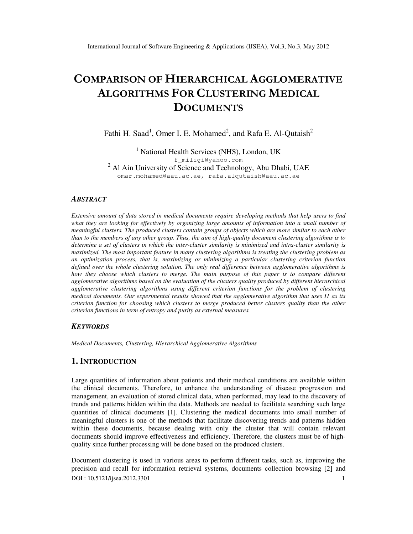# COMPARISON OF HIERARCHICAL AGGLOMERATIVE ALGORITHMS FOR CLUSTERING MEDICAL **DOCUMENTS**

Fathi H. Saad<sup>1</sup>, Omer I. E. Mohamed<sup>2</sup>, and Rafa E. Al-Qutaish<sup>2</sup>

<sup>1</sup> National Health Services (NHS), London, UK f\_miligi@yahoo.com <sup>2</sup> Al Ain University of Science and Technology, Abu Dhabi, UAE omar.mohamed@aau.ac.ae, rafa.alqutaish@aau.ac.ae

### *ABSTRACT*

*Extensive amount of data stored in medical documents require developing methods that help users to find what they are looking for effectively by organizing large amounts of information into a small number of meaningful clusters. The produced clusters contain groups of objects which are more similar to each other than to the members of any other group. Thus, the aim of high-quality document clustering algorithms is to determine a set of clusters in which the inter-cluster similarity is minimized and intra-cluster similarity is maximized. The most important feature in many clustering algorithms is treating the clustering problem as an optimization process, that is, maximizing or minimizing a particular clustering criterion function defined over the whole clustering solution. The only real difference between agglomerative algorithms is how they choose which clusters to merge. The main purpose of this paper is to compare different agglomerative algorithms based on the evaluation of the clusters quality produced by different hierarchical agglomerative clustering algorithms using different criterion functions for the problem of clustering medical documents. Our experimental results showed that the agglomerative algorithm that uses I1 as its criterion function for choosing which clusters to merge produced better clusters quality than the other criterion functions in term of entropy and purity as external measures.* 

### *KEYWORDS*

*Medical Documents, Clustering, Hierarchical Agglomerative Algorithms* 

## **1. INTRODUCTION**

Large quantities of information about patients and their medical conditions are available within the clinical documents. Therefore, to enhance the understanding of disease progression and management, an evaluation of stored clinical data, when performed, may lead to the discovery of trends and patterns hidden within the data. Methods are needed to facilitate searching such large quantities of clinical documents [1]. Clustering the medical documents into small number of meaningful clusters is one of the methods that facilitate discovering trends and patterns hidden within these documents, because dealing with only the cluster that will contain relevant documents should improve effectiveness and efficiency. Therefore, the clusters must be of highquality since further processing will be done based on the produced clusters.

DOI : 10.5121/ijsea.2012.3301 1 Document clustering is used in various areas to perform different tasks, such as, improving the precision and recall for information retrieval systems, documents collection browsing [2] and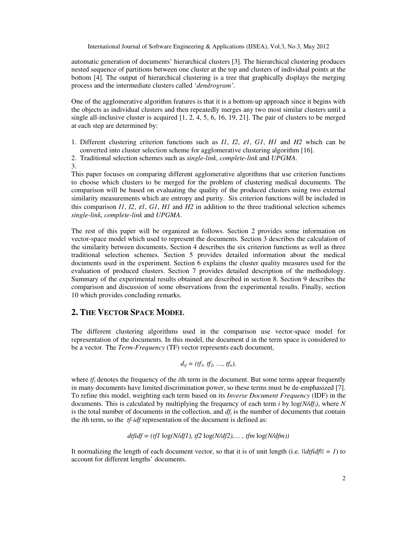automatic generation of documents' hierarchical clusters [3]. The hierarchical clustering produces nested sequence of partitions between one cluster at the top and clusters of individual points at the bottom [4]. The output of hierarchical clustering is a tree that graphically displays the merging process and the intermediate clusters called '*dendrogram'*.

One of the agglomerative algorithm features is that it is a bottom-up approach since it begins with the objects as individual clusters and then repeatedly merges any two most similar clusters until a single all-inclusive cluster is acquired  $[1, 2, 4, 5, 6, 16, 19, 21]$ . The pair of clusters to be merged at each step are determined by:

- 1. Different clustering criterion functions such as *I1*, *I2*, ε*1*, *G1*, *H1* and *H2* which can be converted into cluster selection scheme for agglomerative clustering algorithm [16].
- 2. Traditional selection schemes such as *single-link*, *complete-link* and *UPGMA*.
- 3.

This paper focuses on comparing different agglomerative algorithms that use criterion functions to choose which clusters to be merged for the problem of clustering medical documents. The comparison will be based on evaluating the quality of the produced clusters using two external similarity measurements which are entropy and purity. Six criterion functions will be included in this comparison *I1*, *I2*,  $\varepsilon$ *l*,  $G$ *l*,  $H$ *l* and  $H$ *2* in addition to the three traditional selection schemes *single-link*, *complete-link* and *UPGMA*.

The rest of this paper will be organized as follows. Section 2 provides some information on vector-space model which used to represent the documents. Section 3 describes the calculation of the similarity between documents. Section 4 describes the six criterion functions as well as three traditional selection schemes. Section 5 provides detailed information about the medical documents used in the experiment. Section 6 explains the cluster quality measures used for the evaluation of produced clusters. Section 7 provides detailed description of the methodology. Summary of the experimental results obtained are described in section 8. Section 9 describes the comparison and discussion of some observations from the experimental results. Finally, section 10 which provides concluding remarks.

# **2. THE VECTOR SPACE MODEL**

The different clustering algorithms used in the comparison use vector-space model for representation of the documents. In this model, the document d in the term space is considered to be a vector. The *Term-Frequency* (TF) vector represents each document,

$$
d_{tf} = (tf_1, tf_2, ..., tf_n),
$$

where *tf<sub>i</sub>* denotes the frequency of the *i*th term in the document. But some terms appear frequently in many documents have limited discrimination power, so these terms must be de-emphasized [7]. To refine this model, weighting each term based on its *Inverse Document Frequency* (IDF) in the documents. This is calculated by multiplying the frequency of each term *i* by log*(N/dfi)*, where *N* is the total number of documents in the collection, and  $df_i$  is the number of documents that contain the *i*th term, so the *tf-idf* representation of the document is defined as:

$$
dfidf = (tf1 \log(N/df1), tf2 \log(N/df2), \ldots, tfm \log(N/dfm))
$$

It normalizing the length of each document vector, so that it is of unit length (i.e.  $||dt/df|| = 1$ ) to account for different lengths' documents.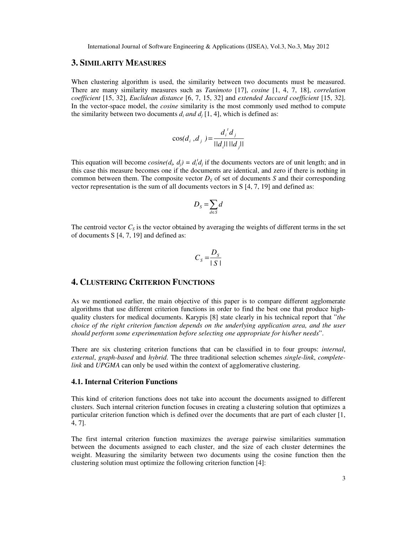## **3. SIMILARITY MEASURES**

When clustering algorithm is used, the similarity between two documents must be measured. There are many similarity measures such as *Tanimoto* [17], *cosine* [1, 4, 7, 18], *correlation coefficient* [15, 32], *Euclidean distance* [6, 7, 15, 32] and *extended Jaccard coefficient* [15, 32]. In the vector-space model, the *cosine* similarity is the most commonly used method to compute the similarity between two documents  $d_i$  and  $d_j$  [1, 4], which is defined as:

$$
\cos(d_i, d_j) = \frac{d_i^{\ t} d_j}{||d_i|| ||d_j||}
$$

This equation will become  $cosine(d_i, d_j) = d_i^t d_j$  if the documents vectors are of unit length; and in this case this measure becomes one if the documents are identical, and zero if there is nothing in common between them. The composite vector  $D<sub>S</sub>$  of set of documents *S* and their corresponding vector representation is the sum of all documents vectors in  $S$  [4, 7, 19] and defined as:

$$
D_{S} = \sum_{d \in S} d
$$

The centroid vector  $C<sub>S</sub>$  is the vector obtained by averaging the weights of different terms in the set of documents S [4, 7, 19] and defined as:

$$
C_s = \frac{D_s}{|S|}
$$

# **4. CLUSTERING CRITERION FUNCTIONS**

As we mentioned earlier, the main objective of this paper is to compare different agglomerate algorithms that use different criterion functions in order to find the best one that produce highquality clusters for medical documents. Karypis [8] state clearly in his technical report that "*the choice of the right criterion function depends on the underlying application area, and the user should perform some experimentation before selecting one appropriate for his/her needs*".

There are six clustering criterion functions that can be classified in to four groups: *internal*, *external*, *graph-based* and *hybrid*. The three traditional selection schemes *single-link*, *completelink* and *UPGMA* can only be used within the context of agglomerative clustering.

# **4.1. Internal Criterion Functions**

This kind of criterion functions does not take into account the documents assigned to different clusters. Such internal criterion function focuses in creating a clustering solution that optimizes a particular criterion function which is defined over the documents that are part of each cluster [1, 4, 7].

The first internal criterion function maximizes the average pairwise similarities summation between the documents assigned to each cluster, and the size of each cluster determines the weight. Measuring the similarity between two documents using the cosine function then the clustering solution must optimize the following criterion function [4]: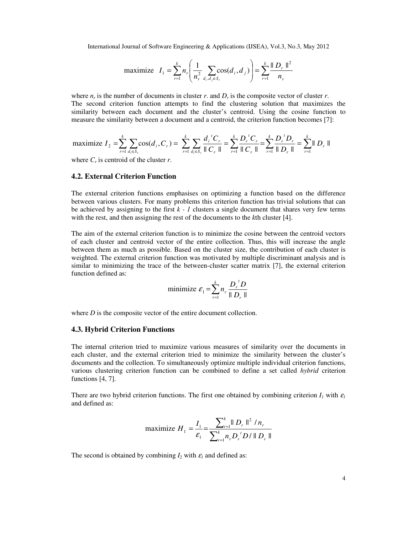maximize 
$$
I_1 = \sum_{r=1}^{k} n_r \left( \frac{1}{n_r^2} \sum_{d_i, d_j \in S_r} \cos(d_i, d_j) \right) = \sum_{r=1}^{k} \frac{\|D_r\|^2}{n_r}
$$

where  $n_r$  is the number of documents in cluster *r*. and  $D_r$  is the composite vector of cluster *r*. The second criterion function attempts to find the clustering solution that maximizes the similarity between each document and the cluster's centroid. Using the cosine function to measure the similarity between a document and a centroid, the criterion function becomes [7]:

maximize 
$$
I_2 = \sum_{r=1}^k \sum_{d_i \in S_r} \cos(d_i, C_r) = \sum_{r=1}^k \sum_{d_i \in S_r} \frac{d_i^{\ t} C_r}{|| C_r ||} = \sum_{r=1}^k \frac{D_r^{\ t} C_r}{|| C_r ||} = \sum_{r=1}^k \frac{D_r^{\ t} D_r}{|| D_r ||} = \sum_{r=1}^k || D_r ||
$$

where  $C_r$  is centroid of the cluster  $r$ .

### **4.2. External Criterion Function**

The external criterion functions emphasises on optimizing a function based on the difference between various clusters. For many problems this criterion function has trivial solutions that can be achieved by assigning to the first  $k - 1$  clusters a single document that shares very few terms with the rest, and then assigning the rest of the documents to the *k*th cluster [4].

The aim of the external criterion function is to minimize the cosine between the centroid vectors of each cluster and centroid vector of the entire collection. Thus, this will increase the angle between them as much as possible. Based on the cluster size, the contribution of each cluster is weighted. The external criterion function was motivated by multiple discriminant analysis and is similar to minimizing the trace of the between-cluster scatter matrix [7], the external criterion function defined as:

minimize 
$$
\varepsilon_1 = \sum_{r=1}^k n_r \frac{D_r^T D}{\| D_r \|}
$$

where *D* is the composite vector of the entire document collection.

#### **4.3. Hybrid Criterion Functions**

The internal criterion tried to maximize various measures of similarity over the documents in each cluster, and the external criterion tried to minimize the similarity between the cluster's documents and the collection. To simultaneously optimize multiple individual criterion functions, various clustering criterion function can be combined to define a set called *hybrid* criterion functions [4, 7].

There are two hybrid criterion functions. The first one obtained by combining criterion  $I_i$  with  $\varepsilon_i$ and defined as:

maximize 
$$
H_1 = \frac{I_1}{\varepsilon_1} = \frac{\sum_{r=1}^k ||D_r||^2 / n_r}{\sum_{r=1}^k n_r D_r^T D / ||D_r||}
$$

The second is obtained by combining  $I_2$  with  $\varepsilon_1$  and defined as: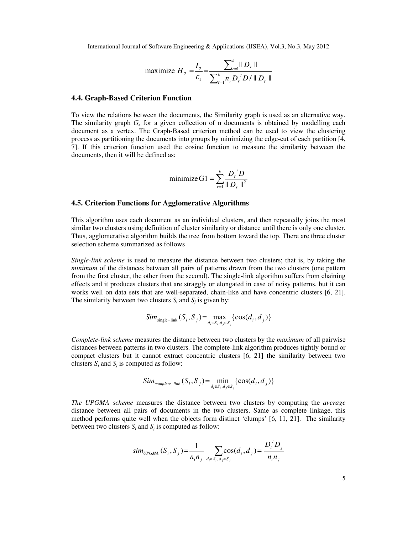maximize 
$$
H_2 = \frac{I_2}{\varepsilon_1} = \frac{\sum_{r=1}^{k} ||D_r||}{\sum_{r=1}^{k} n_r D_r^T D / ||D_r||}
$$

### **4.4. Graph-Based Criterion Function**

To view the relations between the documents, the Similarity graph is used as an alternative way. The similarity graph  $G<sub>s</sub>$  for a given collection of n documents is obtained by modelling each document as a vertex. The Graph-Based criterion method can be used to view the clustering process as partitioning the documents into groups by minimizing the edge-cut of each partition [4, 7]. If this criterion function used the cosine function to measure the similarity between the documents, then it will be defined as:

minimize 
$$
G1 = \sum_{r=1}^{k} \frac{D_r^T D}{||D_r||^2}
$$

### **4.5. Criterion Functions for Agglomerative Algorithms**

This algorithm uses each document as an individual clusters, and then repeatedly joins the most similar two clusters using definition of cluster similarity or distance until there is only one cluster. Thus, agglomerative algorithm builds the tree from bottom toward the top. There are three cluster selection scheme summarized as follows

*Single-link scheme* is used to measure the distance between two clusters; that is, by taking the *minimum* of the distances between all pairs of patterns drawn from the two clusters (one pattern from the first cluster, the other from the second). The single-link algorithm suffers from chaining effects and it produces clusters that are straggly or elongated in case of noisy patterns, but it can works well on data sets that are well-separated, chain-like and have concentric clusters [6, 21]. The similarity between two clusters  $S_i$  and  $S_j$  is given by:

$$
Sim_{single-link}(S_i, S_j) = \max_{d_i \in S_i, d_j \in S_j} \{ \cos(d_i, d_j) \}
$$

*Complete-link scheme* measures the distance between two clusters by the *maximum* of all pairwise distances between patterns in two clusters. The complete-link algorithm produces tightly bound or compact clusters but it cannot extract concentric clusters [6, 21] the similarity between two clusters  $S_i$  and  $S_j$  is computed as follow:

$$
Sim_{complete-link}(S_i, S_j) = \min_{d_i \in S_i, d_j \in S_j} \{ \cos(d_i, d_j) \}
$$

*The UPGMA scheme* measures the distance between two clusters by computing the *average* distance between all pairs of documents in the two clusters. Same as complete linkage, this method performs quite well when the objects form distinct 'clumps' [6, 11, 21]. The similarity between two clusters  $S_i$  and  $S_j$  is computed as follow:

$$
sim_{UPGMA}(S_i, S_j) = \frac{1}{n_i n_j} \sum_{d_i \in S_i, d_j \in S_j} cos(d_i, d_j) = \frac{D_i^T D_j}{n_i n_j}
$$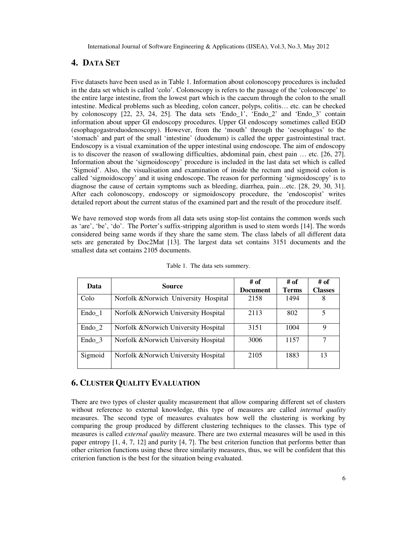# **4. DATA SET**

Five datasets have been used as in Table 1. Information about colonoscopy procedures is included in the data set which is called 'colo'. Colonoscopy is refers to the passage of the 'colonoscope' to the entire large intestine, from the lowest part which is the caecum through the colon to the small intestine. Medical problems such as bleeding, colon cancer, polyps, colitis… etc. can be checked by colonoscopy [22, 23, 24, 25]. The data sets 'Endo\_1', 'Endo\_2' and 'Endo\_3' contain information about upper GI endoscopy procedures. Upper GI endoscopy sometimes called EGD (esophagogastroduodenoscopy). However, from the 'mouth' through the 'oesophagus' to the 'stomach' and part of the small 'intestine' (duodenum) is called the upper gastrointestinal tract. Endoscopy is a visual examination of the upper intestinal using endoscope. The aim of endoscopy is to discover the reason of swallowing difficulties, abdominal pain, chest pain … etc. [26, 27]. Information about the 'sigmoidoscopy' procedure is included in the last data set which is called 'Sigmoid'. Also, the visualisation and examination of inside the rectum and sigmoid colon is called 'sigmoidoscopy' and it using endoscope. The reason for performing 'sigmoidoscopy' is to diagnose the cause of certain symptoms such as bleeding, diarrhea, pain…etc. [28, 29, 30, 31]. After each colonoscopy, endoscopy or sigmoidoscopy procedure, the 'endoscopist' writes detailed report about the current status of the examined part and the result of the procedure itself.

We have removed stop words from all data sets using stop-list contains the common words such as 'are', 'be', 'do'. The Porter's suffix-stripping algorithm is used to stem words [14]. The words considered being same words if they share the same stem. The class labels of all different data sets are generated by Doc2Mat [13]. The largest data set contains 3151 documents and the smallest data set contains 2105 documents.

| Data    | <b>Source</b>                         | # of<br><b>Document</b> | # of<br><b>Terms</b> | # of<br><b>Classes</b> |
|---------|---------------------------------------|-------------------------|----------------------|------------------------|
| Colo    | Norfolk & Norwich University Hospital | 2158                    | 1494                 | 8                      |
| Endo 1  | Norfolk & Norwich University Hospital | 2113                    | 802                  | 5                      |
| Endo 2  | Norfolk & Norwich University Hospital | 3151                    | 1004                 | 9                      |
| Endo 3  | Norfolk & Norwich University Hospital | 3006                    | 1157                 |                        |
| Sigmoid | Norfolk & Norwich University Hospital | 2105                    | 1883                 | 13                     |

Table 1. The data sets summery.

# **6. CLUSTER QUALITY EVALUATION**

There are two types of cluster quality measurement that allow comparing different set of clusters without reference to external knowledge, this type of measures are called *internal quality* measures. The second type of measures evaluates how well the clustering is working by comparing the group produced by different clustering techniques to the classes. This type of measures is called *external quality* measure. There are two external measures will be used in this paper entropy [1, 4, 7, 12] and purity [4, 7]. The best criterion function that performs better than other criterion functions using these three similarity measures, thus, we will be confident that this criterion function is the best for the situation being evaluated.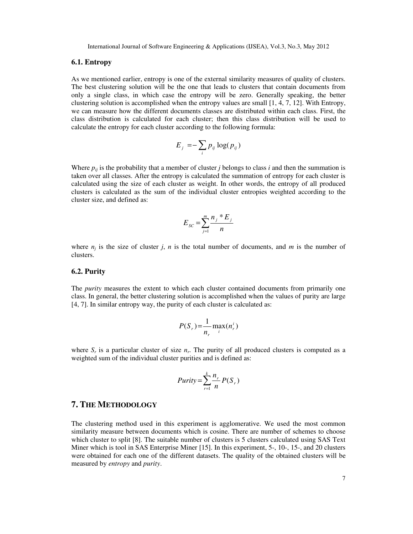## **6.1. Entropy**

As we mentioned earlier, entropy is one of the external similarity measures of quality of clusters. The best clustering solution will be the one that leads to clusters that contain documents from only a single class, in which case the entropy will be zero. Generally speaking, the better clustering solution is accomplished when the entropy values are small [1, 4, 7, 12]. With Entropy, we can measure how the different documents classes are distributed within each class. First, the class distribution is calculated for each cluster; then this class distribution will be used to calculate the entropy for each cluster according to the following formula:

$$
E_j = -\sum_i p_{ij} \log(p_{ij})
$$

Where  $p_{ij}$  is the probability that a member of cluster *j* belongs to class *i* and then the summation is taken over all classes. After the entropy is calculated the summation of entropy for each cluster is calculated using the size of each cluster as weight. In other words, the entropy of all produced clusters is calculated as the sum of the individual cluster entropies weighted according to the cluster size, and defined as:

$$
E_{SC} = \sum_{j=1}^{m} \frac{n_j \cdot E_j}{n}
$$

where  $n_i$  is the size of cluster *j*, *n* is the total number of documents, and *m* is the number of clusters.

### **6.2. Purity**

The *purity* measures the extent to which each cluster contained documents from primarily one class. In general, the better clustering solution is accomplished when the values of purity are large [4, 7]. In similar entropy way, the purity of each cluster is calculated as:

$$
P(S_r) = \frac{1}{n_r} \max_i(n_r^i)
$$

where  $S_r$  is a particular cluster of size  $n_r$ . The purity of all produced clusters is computed as a weighted sum of the individual cluster purities and is defined as:

$$
Purity = \sum_{r=1}^{k} \frac{n_r}{n} P(S_r)
$$

# **7. THE METHODOLOGY**

The clustering method used in this experiment is agglomerative. We used the most common similarity measure between documents which is cosine. There are number of schemes to choose which cluster to split [8]. The suitable number of clusters is 5 clusters calculated using SAS Text Miner which is tool in SAS Enterprise Miner [15]. In this experiment, 5-, 10-, 15-, and 20 clusters were obtained for each one of the different datasets. The quality of the obtained clusters will be measured by *entropy* and *purity*.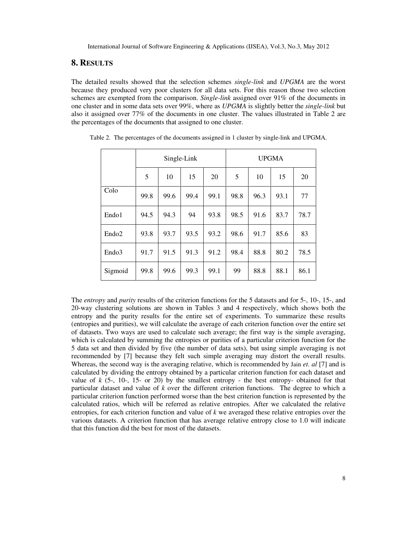# **8. RESULTS**

The detailed results showed that the selection schemes *single-link* and *UPGMA* are the worst because they produced very poor clusters for all data sets. For this reason those two selection schemes are exempted from the comparison. *Single-link* assigned over 91% of the documents in one cluster and in some data sets over 99%, where as *UPGMA* is slightly better the *single-link* but also it assigned over 77% of the documents in one cluster. The values illustrated in Table 2 are the percentages of the documents that assigned to one cluster.

|                   |      |      | Single-Link |      | <b>UPGMA</b> |      |      |      |  |
|-------------------|------|------|-------------|------|--------------|------|------|------|--|
|                   | 5    | 10   | 15          | 20   | 5            | 10   | 15   | 20   |  |
| Colo              | 99.8 | 99.6 | 99.4        | 99.1 | 98.8         | 96.3 | 93.1 | 77   |  |
| Endo1             | 94.5 | 94.3 | 94          | 93.8 | 98.5         | 91.6 | 83.7 | 78.7 |  |
| Endo <sub>2</sub> | 93.8 | 93.7 | 93.5        | 93.2 | 98.6         | 91.7 | 85.6 | 83   |  |
| Endo3             | 91.7 | 91.5 | 91.3        | 91.2 | 98.4         | 88.8 | 80.2 | 78.5 |  |
| Sigmoid           | 99.8 | 99.6 | 99.3        | 99.1 | 99           | 88.8 | 88.1 | 86.1 |  |

Table 2. The percentages of the documents assigned in 1 cluster by single-link and UPGMA.

The *entropy* and *purity* results of the criterion functions for the 5 datasets and for 5-, 10-, 15-, and 20-way clustering solutions are shown in Tables 3 and 4 respectively, which shows both the entropy and the purity results for the entire set of experiments. To summarize these results (entropies and purities), we will calculate the average of each criterion function over the entire set of datasets. Two ways are used to calculate such average; the first way is the simple averaging, which is calculated by summing the entropies or purities of a particular criterion function for the 5 data set and then divided by five (the number of data sets), but using simple averaging is not recommended by [7] because they felt such simple averaging may distort the overall results. Whereas, the second way is the averaging relative, which is recommended by Jain *et. al* [7] and is calculated by dividing the entropy obtained by a particular criterion function for each dataset and value of  $k$  (5-, 10-, 15- or 20) by the smallest entropy - the best entropy- obtained for that particular dataset and value of *k* over the different criterion functions. The degree to which a particular criterion function performed worse than the best criterion function is represented by the calculated ratios, which will be referred as relative entropies. After we calculated the relative entropies, for each criterion function and value of *k* we averaged these relative entropies over the various datasets. A criterion function that has average relative entropy close to 1.0 will indicate that this function did the best for most of the datasets.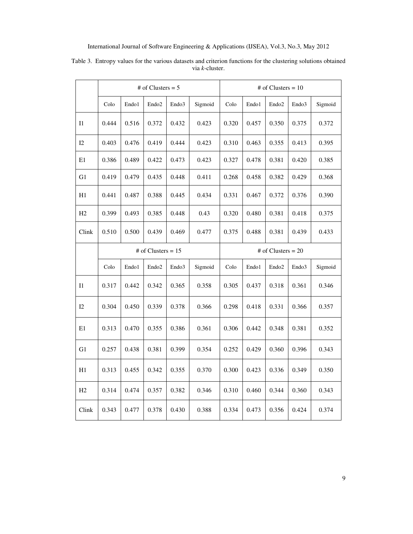|                | # of Clusters $= 5$ |       |                      |       |         |                      | # of Clusters = $10$ |                   |       |         |
|----------------|---------------------|-------|----------------------|-------|---------|----------------------|----------------------|-------------------|-------|---------|
|                | Colo                | Endo1 | Endo <sub>2</sub>    | Endo3 | Sigmoid | Colo                 | Endo1                | Endo <sub>2</sub> | Endo3 | Sigmoid |
| $_{\rm I1}$    | 0.444               | 0.516 | 0.372                | 0.432 | 0.423   | 0.320                | 0.457                | 0.350             | 0.375 | 0.372   |
| I2             | 0.403               | 0.476 | 0.419                | 0.444 | 0.423   | 0.310                | 0.463                | 0.355             | 0.413 | 0.395   |
| E1             | 0.386               | 0.489 | 0.422                | 0.473 | 0.423   | 0.327                | 0.478                | 0.381             | 0.420 | 0.385   |
| G <sub>1</sub> | 0.419               | 0.479 | 0.435                | 0.448 | 0.411   | 0.268                | 0.458                | 0.382             | 0.429 | 0.368   |
| H1             | 0.441               | 0.487 | 0.388                | 0.445 | 0.434   | 0.331                | 0.467                | 0.372             | 0.376 | 0.390   |
| H2             | 0.399               | 0.493 | 0.385                | 0.448 | 0.43    | 0.320                | 0.480                | 0.381             | 0.418 | 0.375   |
| Clink          | 0.510               | 0.500 | 0.439                | 0.469 | 0.477   | 0.375                | 0.488                | 0.381             | 0.439 | 0.433   |
|                |                     |       | # of Clusters = $15$ |       |         | # of Clusters = $20$ |                      |                   |       |         |
|                | Colo                | Endo1 | Endo <sub>2</sub>    | Endo3 | Sigmoid | $\text{Colo}$        | Endo1                | Endo <sub>2</sub> | Endo3 | Sigmoid |
| $_{\rm I1}$    | 0.317               | 0.442 | 0.342                | 0.365 | 0.358   | 0.305                | 0.437                | 0.318             | 0.361 | 0.346   |
| I2             | 0.304               | 0.450 | 0.339                | 0.378 | 0.366   | 0.298                | 0.418                | 0.331             | 0.366 | 0.357   |
| E1             | 0.313               | 0.470 | 0.355                | 0.386 | 0.361   | 0.306                | 0.442                | 0.348             | 0.381 | 0.352   |
| G <sub>1</sub> | 0.257               | 0.438 | 0.381                | 0.399 | 0.354   | 0.252                | 0.429                | 0.360             | 0.396 | 0.343   |
| H1             | 0.313               | 0.455 | 0.342                | 0.355 | 0.370   | 0.300                | 0.423                | 0.336             | 0.349 | 0.350   |
| H2             | 0.314               | 0.474 | 0.357                | 0.382 | 0.346   | 0.310                | 0.460                | 0.344             | 0.360 | 0.343   |
| Clink          | 0.343               | 0.477 | 0.378                | 0.430 | 0.388   | 0.334                | 0.473                | 0.356             | 0.424 | 0.374   |

Table 3. Entropy values for the various datasets and criterion functions for the clustering solutions obtained via *k*-cluster.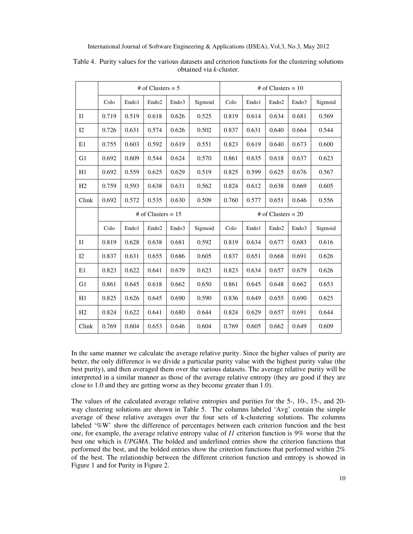|                | # of Clusters = $5$ |       |                      |       |         |                      |       | # of Clusters = $10$ |       |         |
|----------------|---------------------|-------|----------------------|-------|---------|----------------------|-------|----------------------|-------|---------|
|                | Colo                | Endo1 | Endo <sub>2</sub>    | Endo3 | Sigmoid | Colo                 | Endo1 | Endo <sub>2</sub>    | Endo3 | Sigmoid |
| $_{\rm I1}$    | 0.719               | 0.519 | 0.618                | 0.626 | 0.525   | 0.819                | 0.614 | 0.634                | 0.681 | 0.569   |
| I2             | 0.726               | 0.631 | 0.574                | 0.626 | 0.502   | 0.837                | 0.631 | 0.640                | 0.664 | 0.544   |
| E1             | 0.755               | 0.603 | 0.592                | 0.619 | 0.551   | 0.823                | 0.619 | 0.640                | 0.673 | 0.600   |
| G1             | 0.692               | 0.609 | 0.544                | 0.624 | 0.570   | 0.861                | 0.635 | 0.618                | 0.637 | 0.623   |
| H1             | 0.692               | 0.559 | 0.625                | 0.629 | 0.519   | 0.825                | 0.599 | 0.625                | 0.676 | 0.567   |
| H2             | 0.759               | 0.593 | 0.638                | 0.631 | 0.562   | 0.824                | 0.612 | 0.638                | 0.669 | 0.605   |
| Clink          | 0.692               | 0.572 | 0.535                | 0.630 | 0.509   | 0.760                | 0.577 | 0.651                | 0.646 | 0.556   |
|                |                     |       | # of Clusters = $15$ |       |         | # of Clusters = $20$ |       |                      |       |         |
|                | Colo                | Endo1 | Endo <sub>2</sub>    | Endo3 | Sigmoid | Colo                 | Endo1 | Endo <sub>2</sub>    | Endo3 | Sigmoid |
| $_{\text{I}1}$ | 0.819               | 0.628 | 0.638                | 0.681 | 0.592   | 0.819                | 0.634 | 0.677                | 0.683 | 0.616   |
| I2             | 0.837               | 0.631 | 0.655                | 0.686 | 0.605   | 0.837                | 0.651 | 0.668                | 0.691 | 0.626   |
| E1             | 0.823               | 0.622 | 0.641                | 0.679 | 0.623   | 0.823                | 0.634 | 0.657                | 0.679 | 0.626   |
| G1             | 0.861               | 0.645 | 0.618                | 0.662 | 0.650   | 0.861                | 0.645 | 0.648                | 0.662 | 0.653   |
| H1             | 0.825               | 0.626 | 0.645                | 0.690 | 0.590   | 0.836                | 0.649 | 0.655                | 0.690 | 0.625   |
| H2             | 0.824               | 0.622 | 0.641                | 0.680 | 0.644   | 0.824                | 0.629 | 0.657                | 0.691 | 0.644   |
| Clink          | 0.769               | 0.604 | 0.653                | 0.646 | 0.604   | 0.769                | 0.605 | 0.662                | 0.649 | 0.609   |

Table 4. Purity values for the various datasets and criterion functions for the clustering solutions obtained via *k*-cluster.

In the same manner we calculate the average relative purity. Since the higher values of purity are better, the only difference is we divide a particular purity value with the highest purity value (the best purity), and then averaged them over the various datasets. The average relative purity will be interpreted in a similar manner as those of the average relative entropy (they are good if they are close to 1.0 and they are getting worse as they become greater than 1.0).

The values of the calculated average relative entropies and purities for the 5-, 10-, 15-, and 20 way clustering solutions are shown in Table 5. The columns labeled 'Avg' contain the simple average of these relative averages over the four sets of k-clustering solutions. The columns labeled '%W' show the difference of percentages between each criterion function and the best one, for example, the average relative entropy value of *I1* criterion function is 9% worse that the best one which is *UPGMA*. The bolded and underlined entries show the criterion functions that performed the best, and the bolded entries show the criterion functions that performed within 2% of the best. The relationship between the different criterion function and entropy is showed in Figure 1 and for Purity in Figure 2.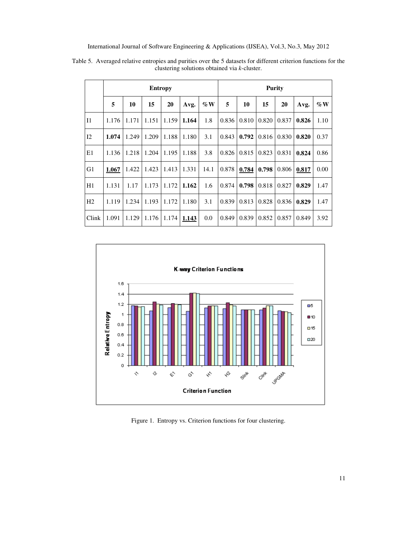|                | <b>Entropy</b> |       |       |       |       |        | <b>Purity</b> |       |       |       |       |                |
|----------------|----------------|-------|-------|-------|-------|--------|---------------|-------|-------|-------|-------|----------------|
|                | 5              | 10    | 15    | 20    | Avg.  | $\%$ W | 5             | 10    | 15    | 20    | Avg.  | $\%\mathbf{W}$ |
| $_{\rm II}$    | 1.176          | 1.171 | 1.151 | 1.159 | 1.164 | 1.8    | 0.836         | 0.810 | 0.820 | 0.837 | 0.826 | 1.10           |
| I <sub>2</sub> | 1.074          | 1.249 | 1.209 | 1.188 | 1.180 | 3.1    | 0.843         | 0.792 | 0.816 | 0.830 | 0.820 | 0.37           |
| E1             | 1.136          | 1.218 | 1.204 | 1.195 | 1.188 | 3.8    | 0.826         | 0.815 | 0.823 | 0.831 | 0.824 | 0.86           |
| G1             | 1.067          | 1.422 | 1.423 | 1.413 | 1.331 | 14.1   | 0.878         | 0.784 | 0.798 | 0.806 | 0.817 | 0.00           |
| H1             | 1.131          | 1.17  | 1.173 | 1.172 | 1.162 | 1.6    | 0.874         | 0.798 | 0.818 | 0.827 | 0.829 | 1.47           |
| H <sub>2</sub> | 1.119          | 1.234 | 1.193 | 1.172 | 1.180 | 3.1    | 0.839         | 0.813 | 0.828 | 0.836 | 0.829 | 1.47           |
| Clink          | 1.091          | 1.129 | 1.176 | 1.174 | 1.143 | 0.0    | 0.849         | 0.839 | 0.852 | 0.857 | 0.849 | 3.92           |

Table 5. Averaged relative entropies and purities over the 5 datasets for different criterion functions for the clustering solutions obtained via *k*-cluster.



Figure 1. Entropy vs. Criterion functions for four clustering.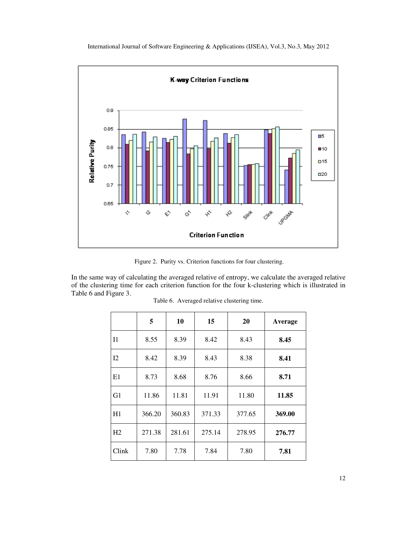

Figure 2. Purity vs. Criterion functions for four clustering.

In the same way of calculating the averaged relative of entropy, we calculate the averaged relative of the clustering time for each criterion function for the four k-clustering which is illustrated in Table 6 and Figure 3.

|                | 5      | 10     | 15     | 20     | Average |  |
|----------------|--------|--------|--------|--------|---------|--|
| 11             | 8.55   | 8.39   | 8.42   | 8.43   | 8.45    |  |
| I2             | 8.42   | 8.39   | 8.43   | 8.38   | 8.41    |  |
| E1             | 8.73   | 8.68   | 8.76   | 8.66   | 8.71    |  |
| G1             | 11.86  | 11.81  | 11.91  | 11.80  | 11.85   |  |
| H1             | 366.20 | 360.83 | 371.33 | 377.65 | 369.00  |  |
| H <sub>2</sub> | 271.38 | 281.61 | 275.14 | 278.95 | 276.77  |  |
| Clink          | 7.80   | 7.78   | 7.84   | 7.80   | 7.81    |  |

|  |  |  | Table 6. Averaged relative clustering time. |
|--|--|--|---------------------------------------------|
|--|--|--|---------------------------------------------|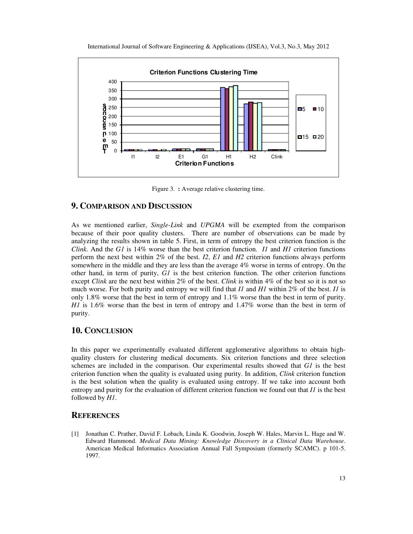

Figure 3. **:** Average relative clustering time.

# **9. COMPARISON AND DISCUSSION**

As we mentioned earlier, *Single-Link* and *UPGMA* will be exempted from the comparison because of their poor quality clusters. There are number of observations can be made by analyzing the results shown in table 5. First, in term of entropy the best criterion function is the *Clink*. And the *G1* is 14% worse than the best criterion function. *I1* and *H1* criterion functions perform the next best within 2% of the best. *I2*, *E1* and *H2* criterion functions always perform somewhere in the middle and they are less than the average 4% worse in terms of entropy. On the other hand, in term of purity, *G1* is the best criterion function. The other criterion functions except *Clink* are the next best within 2% of the best. *Clink* is within 4% of the best so it is not so much worse. For both purity and entropy we will find that *I1* and *H1* within 2% of the best. *I1* is only 1.8% worse that the best in term of entropy and 1.1% worse than the best in term of purity. *H1* is 1.6% worse than the best in term of entropy and 1.47% worse than the best in term of purity.

# **10. CONCLUSION**

In this paper we experimentally evaluated different agglomerative algorithms to obtain highquality clusters for clustering medical documents. Six criterion functions and three selection schemes are included in the comparison. Our experimental results showed that *G1* is the best criterion function when the quality is evaluated using purity. In addition, *Clink* criterion function is the best solution when the quality is evaluated using entropy. If we take into account both entropy and purity for the evaluation of different criterion function we found out that *I1* is the best followed by *H1*.

# **REFERENCES**

[1] Jonathan C. Prather, David F. Lobach, Linda K. Goodwin, Joseph W. Hales, Marvin L. Hage and W. Edward Hammond. *Medical Data Mining: Knowledge Discovery in a Clinical Data Warehouse*. American Medical Informatics Association Annual Fall Symposium (formerly SCAMC). p 101-5. 1997.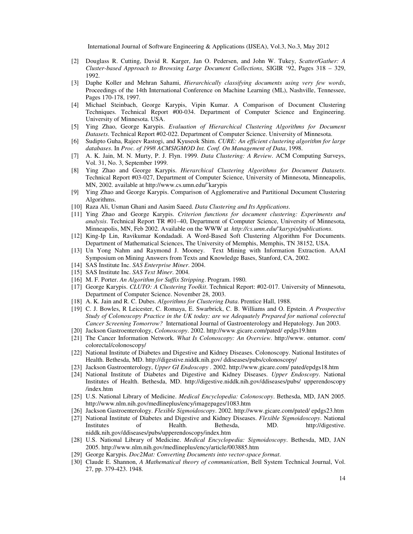- [2] Douglass R. Cutting, David R. Karger, Jan O. Pedersen, and John W. Tukey, *Scatter/Gather: A Cluster-based Approach to Browsing Large Document Collections*, SIGIR '92, Pages 318 – 329, 1992.
- [3] Daphe Koller and Mehran Sahami, *Hierarchically classifying documents using very few words*, Proceedings of the 14th International Conference on Machine Learning (ML), Nashville, Tennessee, Pages 170-178, 1997.
- [4] Michael Steinbach, George Karypis, Vipin Kumar. A Comparison of Document Clustering Techniques. Technical Report #00-034. Department of Computer Science and Engineering. University of Minnesota. USA.
- [5] Ying Zhao, George Karypis. *Evaluation of Hierarchical Clustering Algorithms for Document Datasets*. Technical Report #02-022. Department of Computer Science. University of Minnesota.
- [6] Sudipto Guha, Rajeev Rastogi, and Kyuseok Shim. *CURE: An efficient clustering algorithm for large databases*. In *Proc. of 1998 ACMSIGMOD Int. Conf. On Management of Data*, 1998.
- [7] A. K. Jain, M. N. Murty, P. J. Flyn. 1999. *Data Clustering: A Review*. ACM Computing Surveys, Vol. 31, No. 3, September 1999.
- [8] Ying Zhao and George Karypis. *Hierarchical Clustering Algorithms for Document Datasets*. Technical Report #03-027, Department of Computer Science, University of Minnesota, Minneapolis, MN, 2002. available at http://www.cs.umn.edu/˜karypis
- [9] Ying Zhao and George Karypis. Comparison of Agglomerative and Partitional Document Clustering Algorithms.
- [10] Raza Ali, Usman Ghani and Aasim Saeed. *Data Clustering and Its Applications*.
- [11] Ying Zhao and George Karypis. *Criterion functions for document clustering: Experiments and analysis*. Technical Report TR #01–40, Department of Computer Science, University of Minnesota, Minneapolis, MN, Feb 2002. Available on the WWW at *http://cs.umn.edu/˜karypis/publications*.
- [12] King-Ip Lin, Ravikumar Kondadadi. A Word-Based Soft Clustering Algorithm For Documents. Department of Mathematical Sciences, The University of Memphis, Memphis, TN 38152, USA.
- [13] Un Yong Nahm and Raymond J. Mooney. Text Mining with Information Extraction. AAAI Symposium on Mining Answers from Texts and Knowledge Bases, Stanford, CA, 2002.
- [14] SAS Institute Inc. *SAS Enterprise Miner*. 2004.
- [15] SAS Institute Inc. *SAS Text Miner*. 2004.
- [16] M. F. Porter. *An Algorithm for Suffix Stripping*. Program. 1980.
- [17] George Karypis. *CLUTO: A Clustering Toolkit*. Technical Report: #02-017. University of Minnesota, Department of Computer Science. November 28, 2003.
- [18] A. K. Jain and R. C. Dubes. *Algorithms for Clustering Data*. Prentice Hall, 1988.
- [19] C. J. Bowles, R Leicester, C. Romaya, E. Swarbrick, C. B. Williams and O. Epstein. *A Prospective Study of Colonoscopy Practice in the UK today: are we Adequately Prepared for national colorectal Cancer Screening Tomorrow?* International Journal of Gastroenterology and Hepatology. Jun 2003.
- [20] Jackson Gastroenterology, *Colonoscopy*. 2002. http://www.gicare.com/pated/ epdgs19.htm
- [21] The Cancer Information Network. *What Is Colonoscopy: An Overview*. http://www. ontumor. com/ colorectal/colonoscopy/
- [22] National Institute of Diabetes and Digestive and Kidney Diseases. Colonoscopy. National Institutes of Health. Bethesda, MD. http://digestive.niddk.nih.gov/ ddiseases/pubs/colonoscopy/
- [23] Jackson Gastroenterology, *Upper GI Endoscopy* . 2002. http://www.gicare.com/ pated/epdgs18.htm
- [24] National Institute of Diabetes and Digestive and Kidney Diseases. *Upper Endoscopy*. National Institutes of Health. Bethesda, MD. http://digestive.niddk.nih.gov/ddiseases/pubs/ upperendoscopy /index.htm
- [25] U.S. National Library of Medicine. *Medical Encyclopedia: Colonoscopy*. Bethesda, MD, JAN 2005. http://www.nlm.nih.gov/medlineplus/ency/imagepages/1083.htm
- [26] Jackson Gastroenterology. *Flexible Sigmoidoscopy*. 2002. http://www.gicare.com/pated/ epdgs23.htm
- [27] National Institute of Diabetes and Digestive and Kidney Diseases. *Flexible Sigmoidoscopy*. National Institutes of Health. Bethesda, MD. http://digestive. niddk.nih.gov/ddiseases/pubs/upperendoscopy/index.htm
- [28] U.S. National Library of Medicine. *Medical Encyclopedia: Sigmoidoscopy*. Bethesda, MD, JAN 2005. http://www.nlm.nih.gov/medlineplus/ency/article/003885.htm
- [29] George Karypis. *Doc2Mat: Converting Documents into vector-space format*.
- [30] Claude E. Shannon, *A Mathematical theory of communication*, Bell System Technical Journal, Vol. 27, pp. 379-423. 1948.